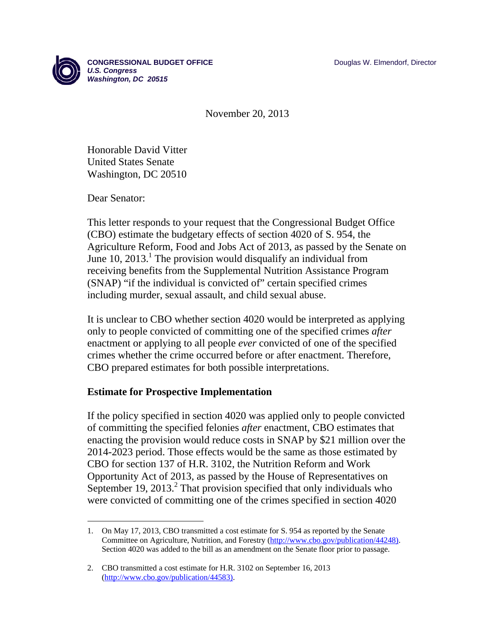

November 20, 2013

Honorable David Vitter United States Senate Washington, DC 20510

Dear Senator:

 $\overline{a}$ 

This letter responds to your request that the Congressional Budget Office (CBO) estimate the budgetary effects of section 4020 of S. 954, the Agriculture Reform, Food and Jobs Act of 2013, as passed by the Senate on June 10,  $2013$ <sup>1</sup>. The provision would disqualify an individual from receiving benefits from the Supplemental Nutrition Assistance Program (SNAP) "if the individual is convicted of" certain specified crimes including murder, sexual assault, and child sexual abuse.

It is unclear to CBO whether section 4020 would be interpreted as applying only to people convicted of committing one of the specified crimes *after* enactment or applying to all people *ever* convicted of one of the specified crimes whether the crime occurred before or after enactment. Therefore, CBO prepared estimates for both possible interpretations.

## **Estimate for Prospective Implementation**

If the policy specified in section 4020 was applied only to people convicted of committing the specified felonies *after* enactment, CBO estimates that enacting the provision would reduce costs in SNAP by \$21 million over the 2014-2023 period. Those effects would be the same as those estimated by CBO for section 137 of H.R. 3102, the Nutrition Reform and Work Opportunity Act of 2013, as passed by the House of Representatives on September 19, 2013.<sup>2</sup> That provision specified that only individuals who were convicted of committing one of the crimes specified in section 4020

<sup>1.</sup> On May 17, 2013, CBO transmitted a cost estimate for S. 954 as reported by the Senate Committee on Agriculture, Nutrition, and Forestry (http://www.cbo.gov/publication/44248). Section 4020 was added to the bill as an amendment on the Senate floor prior to passage.

<sup>2.</sup> CBO transmitted a cost estimate for H.R. 3102 on September 16, 2013 (http://www.cbo.gov/publication/44583).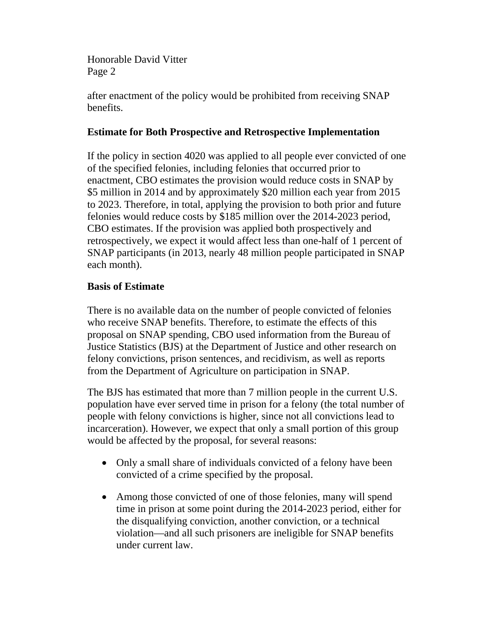Honorable David Vitter Page 2

after enactment of the policy would be prohibited from receiving SNAP benefits.

## **Estimate for Both Prospective and Retrospective Implementation**

If the policy in section 4020 was applied to all people ever convicted of one of the specified felonies, including felonies that occurred prior to enactment, CBO estimates the provision would reduce costs in SNAP by \$5 million in 2014 and by approximately \$20 million each year from 2015 to 2023. Therefore, in total, applying the provision to both prior and future felonies would reduce costs by \$185 million over the 2014-2023 period, CBO estimates. If the provision was applied both prospectively and retrospectively, we expect it would affect less than one-half of 1 percent of SNAP participants (in 2013, nearly 48 million people participated in SNAP each month).

## **Basis of Estimate**

There is no available data on the number of people convicted of felonies who receive SNAP benefits. Therefore, to estimate the effects of this proposal on SNAP spending, CBO used information from the Bureau of Justice Statistics (BJS) at the Department of Justice and other research on felony convictions, prison sentences, and recidivism, as well as reports from the Department of Agriculture on participation in SNAP.

The BJS has estimated that more than 7 million people in the current U.S. population have ever served time in prison for a felony (the total number of people with felony convictions is higher, since not all convictions lead to incarceration). However, we expect that only a small portion of this group would be affected by the proposal, for several reasons:

- Only a small share of individuals convicted of a felony have been convicted of a crime specified by the proposal.
- Among those convicted of one of those felonies, many will spend time in prison at some point during the 2014-2023 period, either for the disqualifying conviction, another conviction, or a technical violation—and all such prisoners are ineligible for SNAP benefits under current law.